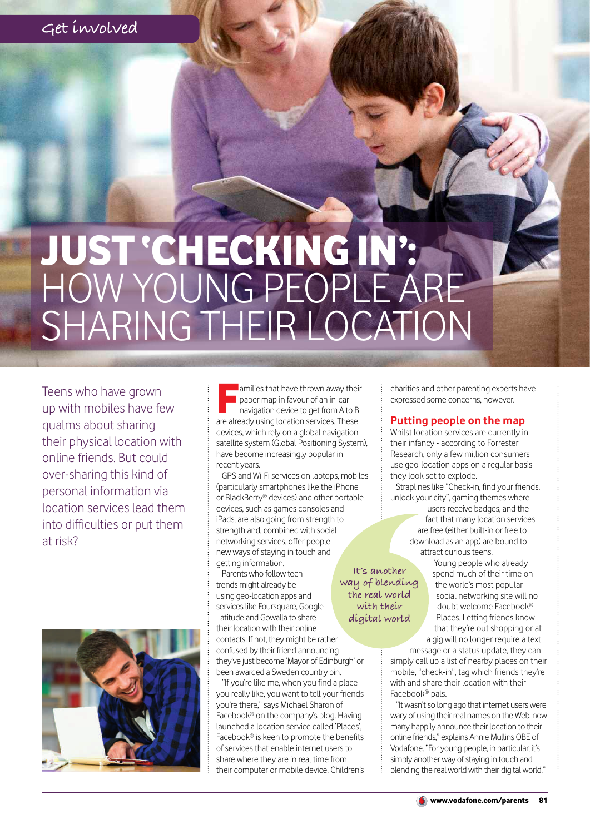# JUST 'CHECKING IN': HOW YOUNG PEOPLE ARE SHARING THEIR LOCATION

Teens who have grown up with mobiles have few qualms about sharing their physical location with online friends. But could over-sharing this kind of personal information via location services lead them into difficulties or put them at risk?



amilies that have thrown away their<br>paper map in favour of an in-car<br>navigation device to get from A to B<br>are already using location services. These **a** amilies that have thrown away their paper map in favour of an in-car navigation device to get from A to B devices, which rely on a global navigation satellite system (Global Positioning System), have become increasingly popular in recent years.

GPS and Wi-Fi services on laptops, mobiles (particularly smartphones like the iPhone or BlackBerry® devices) and other portable devices, such as games consoles and iPads, are also going from strength to strength and, combined with social networking services, offer people new ways of staying in touch and getting information.

Parents who follow tech trends might already be using geo-location apps and services like Foursquare, Google Latitude and Gowalla to share their location with their online contacts. If not, they might be rather confused by their friend announcing they've just become 'Mayor of Edinburgh' or been awarded a Sweden country pin.

"If you're like me, when you find a place you really like, you want to tell your friends you're there," says Michael Sharon of Facebook® on the company's blog. Having launched a location service called 'Places', Facebook® is keen to promote the benefits of services that enable internet users to share where they are in real time from their computer or mobile device. Children's

charities and other parenting experts have expressed some concerns, however.

## **Putting people on the map**

Whilst location services are currently in their infancy - according to Forrester Research, only a few million consumers use geo-location apps on a regular basis they look set to explode.

Straplines like "Check-in, find your friends, unlock your city", gaming themes where

> users receive badges, and the fact that many location services are free (either built-in or free to download as an app) are bound to attract curious teens.

> > Young people who already spend much of their time on the world's most popular social networking site will no doubt welcome Facebook® Places. Letting friends know that they're out shopping or at a gig will no longer require a text

message or a status update, they can simply call up a list of nearby places on their mobile, "check-in", tag which friends they're with and share their location with their Facebook® pals.

"It wasn't so long ago that internet users were wary of using their real names on the Web, now many happily announce their location to their online friends," explains Annie Mullins OBE of Vodafone. "For young people, in particular, it's simply another way of staying in touch and blending the real world with their digital world."

**It's another way of blending the real world with their digital world**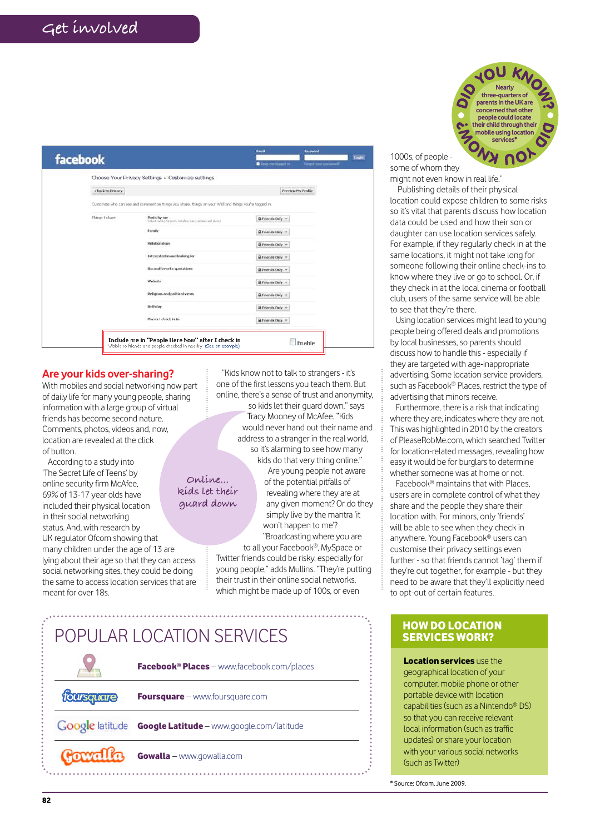| facebook          |                                                                                                         | Email                      | <b>Password</b>           | <b>Login</b> |
|-------------------|---------------------------------------------------------------------------------------------------------|----------------------------|---------------------------|--------------|
|                   |                                                                                                         | <b>B</b> East on lagged in | Furget your password?     |              |
|                   | Choose Your Privacy Settings > Customize settings                                                       |                            |                           |              |
| + Back to Privacy |                                                                                                         |                            | <b>Preview My Profile</b> |              |
|                   | Customize who can see and comment on things you share, things on your Wall and things you're tagged in. |                            |                           |              |
| Things I share.   | Posts by me<br>Pusts by me<br>Delait setting for ports, including them updated and photos               | E Friends Only             |                           |              |
|                   | <b>Family</b>                                                                                           | & Friends Daly             |                           |              |
|                   | Relationships                                                                                           | & Friends Only             |                           |              |
|                   | Interested in and looking for                                                                           | & Friends Doly             |                           |              |
|                   | this and favorite quotations                                                                            | & Friends Only             |                           |              |
|                   | Website                                                                                                 | & Friends Doly             |                           |              |
|                   | Religious and political views                                                                           | & Friends Only             |                           |              |
|                   | Birthday                                                                                                | & Friends Doly =           |                           |              |
|                   | Places I check in to                                                                                    | & Friends Doly ~           |                           |              |
|                   |                                                                                                         |                            |                           |              |

### **Are your kids over-sharing?**

With mobiles and social networking now part of daily life for many young people, sharing information with a large group of virtual friends has become second nature. Comments, photos, videos and, now, location are revealed at the click of button.

According to a study into 'The Secret Life of Teens' by online security firm McAfee, 69% of 13-17 year olds have included their physical location in their social networking status. And, with research by UK regulator Ofcom showing that many children under the age of 13 are lying about their age so that they can access social networking sites, they could be doing the same to access location services that are meant for over 18s. **Online... kids let their guard down**

"Kids know not to talk to strangers - it's one of the first lessons you teach them. But online, there's a sense of trust and anonymity, so kids let their guard down," says Tracy Mooney of McAfee. "Kids would never hand out their name and address to a stranger in the real world, so it's alarming to see how many kids do that very thing online." Are young people not aware of the potential pitfalls of revealing where they are at any given moment? Or do they simply live by the mantra 'it won't happen to me'?

"Broadcasting where you are to all your Facebook®, MySpace or Twitter friends could be risky, especially for young people," adds Mullins. "They're putting their trust in their online social networks, which might be made up of 100s, or even

# POPULAR LOCATION SERVICES EXAMPLE THE RED BERVICES WORK?

|                        | <b>Facebook<sup>®</sup> Places</b> – www.facebook.com/places |  |
|------------------------|--------------------------------------------------------------|--|
| foursquare             | Foursquare - www.foursquare.com                              |  |
| <b>Google</b> latitude | Google Latitude - www.google.com/latitude                    |  |
| Covalla                | Gowalla - www.gowalla.com                                    |  |

**JOU KA Nearly three-quarters of parents in the UK are concerned that other people could locate their child through their mobile using location services\***

1000s, of people some of whom they

might not even know in real life." Publishing details of their physical

location could expose children to some risks so it's vital that parents discuss how location data could be used and how their son or daughter can use location services safely. For example, if they regularly check in at the same locations, it might not take long for someone following their online check-ins to know where they live or go to school. Or, if they check in at the local cinema or football club, users of the same service will be able to see that they're there.

Using location services might lead to young people being offered deals and promotions by local businesses, so parents should discuss how to handle this - especially if they are targeted with age-inappropriate advertising. Some location service providers, such as Facebook® Places, restrict the type of advertising that minors receive.

Furthermore, there is a risk that indicating where they are, indicates where they are not. This was highlighted in 2010 by the creators of PleaseRobMe.com, which searched Twitter for location-related messages, revealing how easy it would be for burglars to determine whether someone was at home or not.

Facebook® maintains that with Places, users are in complete control of what they share and the people they share their location with. For minors, only 'friends' will be able to see when they check in anywhere. Young Facebook® users can customise their privacy settings even further - so that friends cannot 'tag' them if they're out together, for example - but they need to be aware that they'll explicitly need to opt-out of certain features.

# SERVICES WORK?

**Location services** use the geographical location of your computer, mobile phone or other portable device with location capabilities (such as a Nintendo® DS) so that you can receive relevant local information (such as traffic updates) or share your location with your various social networks (such as Twitter)

\* Source: Ofcom, June 2009.